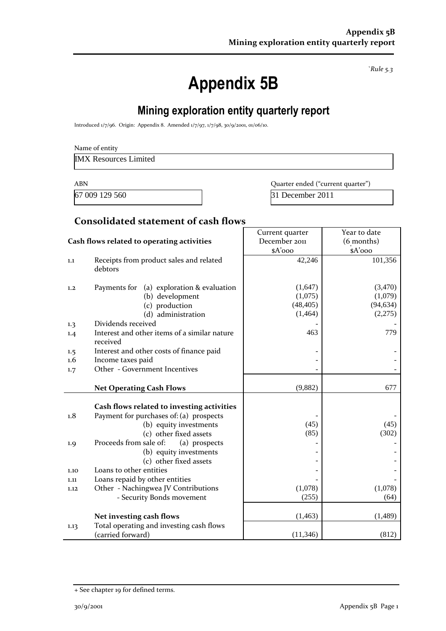*`Rule 5.3*

# **Appendix 5B**

# **Mining exploration entity quarterly report**

Introduced 1/7/96. Origin: Appendix 8. Amended 1/7/97, 1/7/98, 30/9/2001, 01/06/10.

IMX Resources Limited

67 009 129 560 31 December 2011

ABN **ABN** Quarter ended ("current quarter")

#### **Consolidated statement of cash flows**

|                                            |                                                                                       | Current quarter                 | Year to date                    |  |
|--------------------------------------------|---------------------------------------------------------------------------------------|---------------------------------|---------------------------------|--|
| Cash flows related to operating activities |                                                                                       | December 2011                   | (6 months)                      |  |
|                                            |                                                                                       | \$A'ooo                         | \$A'ooo                         |  |
| 1.1                                        | Receipts from product sales and related<br>debtors                                    | 42,246                          | 101,356                         |  |
| 1,2                                        | Payments for<br>(a) exploration & evaluation<br>(b) development<br>(c) production     | (1,647)<br>(1,075)<br>(48, 405) | (3,470)<br>(1,079)<br>(94, 634) |  |
|                                            | (d) administration                                                                    | (1, 464)                        | (2,275)                         |  |
| 1.3                                        | Dividends received                                                                    |                                 |                                 |  |
| 1.4                                        | Interest and other items of a similar nature<br>received                              | 463                             | 779                             |  |
| 1.5                                        | Interest and other costs of finance paid                                              |                                 |                                 |  |
| $1.6\phantom{0}$                           | Income taxes paid                                                                     |                                 |                                 |  |
| 1.7                                        | Other - Government Incentives                                                         |                                 |                                 |  |
|                                            |                                                                                       |                                 |                                 |  |
|                                            | <b>Net Operating Cash Flows</b>                                                       | (9,882)                         | 677                             |  |
| 1.8                                        | Cash flows related to investing activities<br>Payment for purchases of: (a) prospects |                                 |                                 |  |
|                                            | (b) equity investments                                                                | (45)                            | (45)                            |  |
|                                            | (c) other fixed assets                                                                | (85)                            | (302)                           |  |
| 1.9                                        | Proceeds from sale of:<br>(a) prospects                                               |                                 |                                 |  |
|                                            | (b) equity investments                                                                |                                 |                                 |  |
|                                            | (c) other fixed assets                                                                |                                 |                                 |  |
| 1.10                                       | Loans to other entities                                                               |                                 |                                 |  |
| 1.11                                       | Loans repaid by other entities                                                        |                                 |                                 |  |
| 1.12                                       | Other - Nachingwea JV Contributions                                                   | (1,078)                         | (1,078)                         |  |
|                                            | - Security Bonds movement                                                             | (255)                           | (64)                            |  |
|                                            | Net investing cash flows                                                              | (1, 463)                        | (1, 489)                        |  |
| 1.13                                       | Total operating and investing cash flows<br>(carried forward)                         | (11, 346)                       | (812)                           |  |

<sup>+</sup> See chapter 19 for defined terms.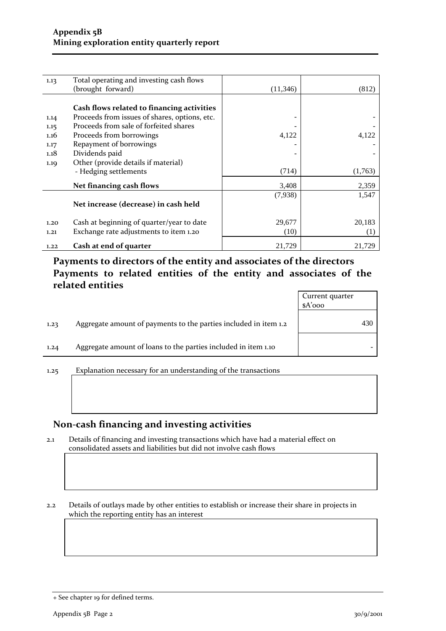| 1.13 | Total operating and investing cash flows      |          |         |
|------|-----------------------------------------------|----------|---------|
|      | (brought forward)                             | (11,346) | (812)   |
|      |                                               |          |         |
|      | Cash flows related to financing activities    |          |         |
| 1.14 | Proceeds from issues of shares, options, etc. |          |         |
| 1.15 | Proceeds from sale of forfeited shares        |          |         |
| 1.16 | Proceeds from borrowings                      | 4,122    | 4,122   |
| 1.17 | Repayment of borrowings                       |          |         |
| 1.18 | Dividends paid                                |          |         |
| 1.19 | Other (provide details if material)           |          |         |
|      | - Hedging settlements                         | (714)    | (1,763) |
|      | Net financing cash flows                      | 3,408    | 2,359   |
|      |                                               | (7,938)  | 1,547   |
|      | Net increase (decrease) in cash held          |          |         |
| 1.20 | Cash at beginning of quarter/year to date     | 29,677   | 20,183  |
| 1.21 | Exchange rate adjustments to item 1.20        | (10)     | (1)     |
| 1.22 | Cash at end of quarter                        | 21,729   | 21,729  |

## **Payments to directors of the entity and associates of the directors Payments to related entities of the entity and associates of the related entities**

|      |                                                                  | Current quarter<br>$A'$ 000 |
|------|------------------------------------------------------------------|-----------------------------|
| 1.23 | Aggregate amount of payments to the parties included in item 1.2 | 430                         |
| 1.24 | Aggregate amount of loans to the parties included in item 1.10   |                             |
| 1.25 | Explanation necessary for an understanding of the transactions   |                             |

#### **Non-cash financing and investing activities**

2.1 Details of financing and investing transactions which have had a material effect on consolidated assets and liabilities but did not involve cash flows

2.2 Details of outlays made by other entities to establish or increase their share in projects in which the reporting entity has an interest

<sup>+</sup> See chapter 19 for defined terms.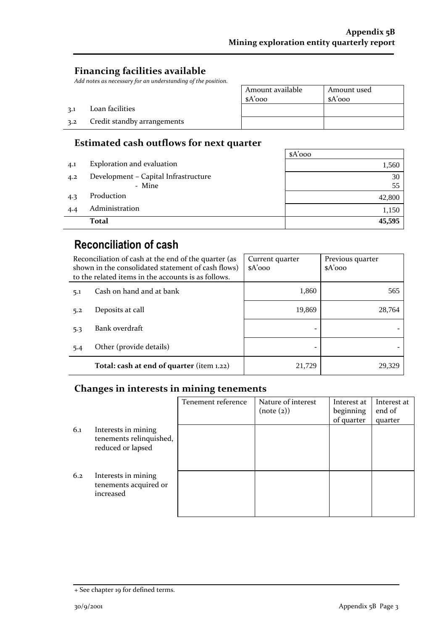## **Financing facilities available**

3.2 Credit standby arrangements

3.1 Loan facilities

*Add notes as necessary for an understanding of the position.*

| Amount available | Amount used |
|------------------|-------------|
| $A'$ 000         | $A'$ 000    |
|                  |             |
|                  |             |
|                  |             |

## **Estimated cash outflows for next quarter**

|     |                                      | $A'$ 000 |
|-----|--------------------------------------|----------|
| 4.1 | Exploration and evaluation           | 1,560    |
| 4.2 | Development - Capital Infrastructure | 30       |
|     | - Mine                               | 55       |
| 4.3 | Production                           | 42,800   |
| 4.4 | Administration                       | 1,150    |
|     | <b>Total</b>                         | 45,595   |

## **Reconciliation of cash**

| Reconciliation of cash at the end of the quarter (as<br>shown in the consolidated statement of cash flows)<br>to the related items in the accounts is as follows. |                                           | Current quarter<br>$A'$ 000 | Previous quarter<br>$A'$ 000 |  |
|-------------------------------------------------------------------------------------------------------------------------------------------------------------------|-------------------------------------------|-----------------------------|------------------------------|--|
| 5.1                                                                                                                                                               | Cash on hand and at bank                  | 1,860                       | 565                          |  |
| 5.2                                                                                                                                                               | Deposits at call                          | 19.869                      | 28,764                       |  |
| 5.3                                                                                                                                                               | Bank overdraft                            |                             |                              |  |
| 5.4                                                                                                                                                               | Other (provide details)                   |                             |                              |  |
|                                                                                                                                                                   | Total: cash at end of quarter (item 1.22) | 21.729                      | 29,329                       |  |

#### **Changes in interests in mining tenements**

|     |                                                                     | Tenement reference | Nature of interest<br>(note (2)) | Interest at<br>beginning<br>of quarter | Interest at<br>end of<br>quarter |
|-----|---------------------------------------------------------------------|--------------------|----------------------------------|----------------------------------------|----------------------------------|
| 6.1 | Interests in mining<br>tenements relinquished,<br>reduced or lapsed |                    |                                  |                                        |                                  |
| 6.2 | Interests in mining<br>tenements acquired or<br>increased           |                    |                                  |                                        |                                  |

<sup>+</sup> See chapter 19 for defined terms.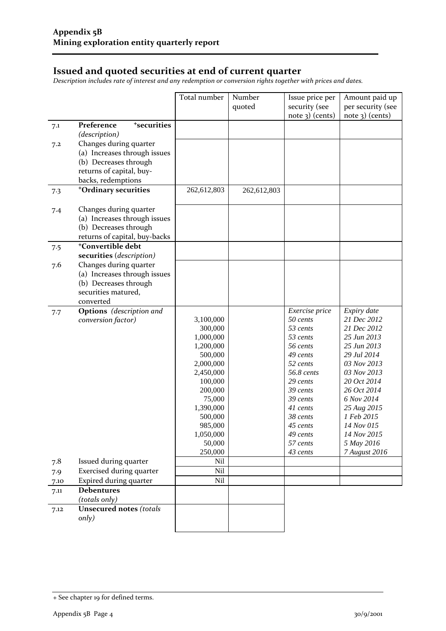#### **Issued and quoted securities at end of current quarter**

*Description includes rate of interest and any redemption or conversion rights together with prices and dates.*

|      |                                       | Total number         | Number<br>quoted | Issue price per<br>security (see<br>$note$ 3) (cents) | Amount paid up<br>per security (see<br>$note$ 3) (cents) |
|------|---------------------------------------|----------------------|------------------|-------------------------------------------------------|----------------------------------------------------------|
| 7.1  | <sup>+</sup> securities<br>Preference |                      |                  |                                                       |                                                          |
|      | (description)                         |                      |                  |                                                       |                                                          |
| 7.2  | Changes during quarter                |                      |                  |                                                       |                                                          |
|      | (a) Increases through issues          |                      |                  |                                                       |                                                          |
|      | (b) Decreases through                 |                      |                  |                                                       |                                                          |
|      | returns of capital, buy-              |                      |                  |                                                       |                                                          |
|      | backs, redemptions                    |                      |                  |                                                       |                                                          |
| 7.3  | <sup>+</sup> Ordinary securities      | 262,612,803          | 262,612,803      |                                                       |                                                          |
|      |                                       |                      |                  |                                                       |                                                          |
| 7.4  | Changes during quarter                |                      |                  |                                                       |                                                          |
|      | (a) Increases through issues          |                      |                  |                                                       |                                                          |
|      | (b) Decreases through                 |                      |                  |                                                       |                                                          |
|      | returns of capital, buy-backs         |                      |                  |                                                       |                                                          |
| 7.5  | <sup>+</sup> Convertible debt         |                      |                  |                                                       |                                                          |
|      | securities (description)              |                      |                  |                                                       |                                                          |
| 7.6  | Changes during quarter                |                      |                  |                                                       |                                                          |
|      | (a) Increases through issues          |                      |                  |                                                       |                                                          |
|      | (b) Decreases through                 |                      |                  |                                                       |                                                          |
|      | securities matured,                   |                      |                  |                                                       |                                                          |
|      | converted                             |                      |                  |                                                       |                                                          |
| 7.7  | <b>Options</b> (description and       |                      |                  | Exercise price                                        | Expiry date                                              |
|      | conversion factor)                    | 3,100,000            |                  | 50 cents                                              | 21 Dec 2012                                              |
|      |                                       | 300,000              |                  | 53 cents                                              | 21 Dec 2012                                              |
|      |                                       | 1,000,000            |                  | 53 cents                                              | 25 Jun 2013                                              |
|      |                                       | 1,200,000            |                  | 56 cents                                              | 25 Jun 2013                                              |
|      |                                       | 500,000              |                  | 49 cents                                              | 29 Jul 2014                                              |
|      |                                       | 2,000,000            |                  | 52 cents<br>56.8 cents                                | 03 Nov 2013                                              |
|      |                                       | 2,450,000<br>100,000 |                  | 29 cents                                              | 03 Nov 2013<br>20 Oct 2014                               |
|      |                                       | 200,000              |                  | 39 cents                                              | 26 Oct 2014                                              |
|      |                                       | 75,000               |                  | 39 cents                                              | 6 Nov 2014                                               |
|      |                                       | 1,390,000            |                  | 41 cents                                              | 25 Aug 2015                                              |
|      |                                       | 500,000              |                  | 38 cents                                              | 1 Feb 2015                                               |
|      |                                       | 985,000              |                  | 45 cents                                              | 14 Nov 015                                               |
|      |                                       | 1,050,000            |                  | 49 cents                                              | 14 Nov 2015                                              |
|      |                                       | 50,000               |                  | 57 cents                                              | 5 May 2016                                               |
|      |                                       | 250,000              |                  | 43 cents                                              | 7 August 2016                                            |
| 7.8  | Issued during quarter                 | Nil                  |                  |                                                       |                                                          |
| 7.9  | <b>Exercised during quarter</b>       | Nil                  |                  |                                                       |                                                          |
| 7.10 | Expired during quarter                | Nil                  |                  |                                                       |                                                          |
| 7.11 | <b>Debentures</b>                     |                      |                  |                                                       |                                                          |
|      | (totals only)                         |                      |                  |                                                       |                                                          |
| 7.12 | <b>Unsecured notes (totals</b>        |                      |                  |                                                       |                                                          |
|      | only)                                 |                      |                  |                                                       |                                                          |
|      |                                       |                      |                  |                                                       |                                                          |

<sup>+</sup> See chapter 19 for defined terms.